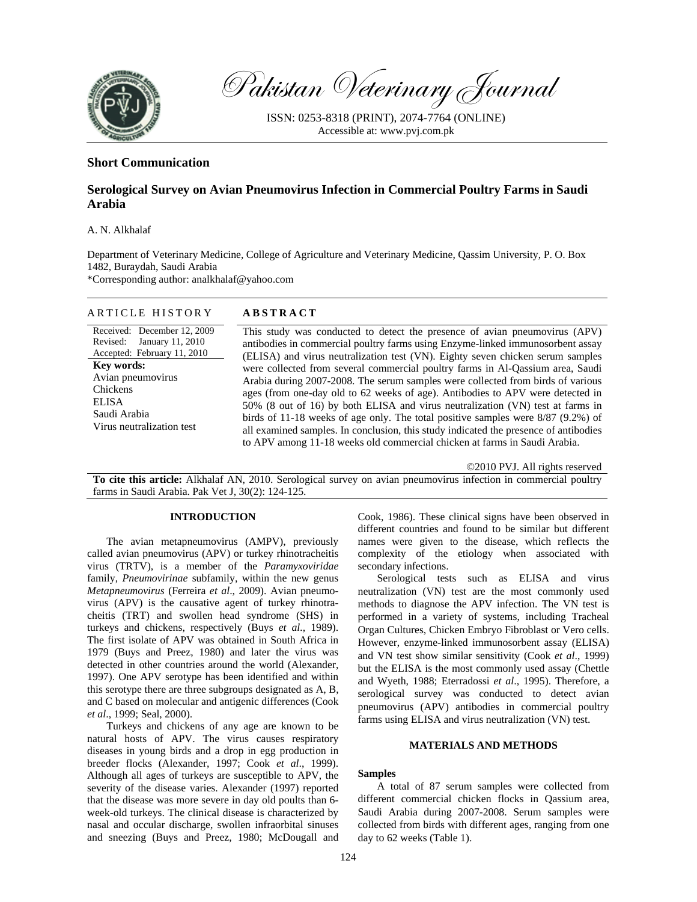

Pakistan Veterinary Journal

ISSN: 0253-8318 (PRINT), 2074-7764 (ONLINE) Accessible at: www.pvj.com.pk

## **Short Communication**

# **Serological Survey on Avian Pneumovirus Infection in Commercial Poultry Farms in Saudi Arabia**

A. N. Alkhalaf

Department of Veterinary Medicine, College of Agriculture and Veterinary Medicine, Qassim University, P. O. Box 1482, Buraydah, Saudi Arabia \*Corresponding author: analkhalaf@yahoo.com

#### ARTICLE HISTORY **ABSTRACT**

Received: December 12, 2009 Revised: January 11, 2010 Accepted: February 11, 2010 **Key words:**  Avian pneumovirus Chickens ELISA Saudi Arabia Virus neutralization test

This study was conducted to detect the presence of avian pneumovirus (APV) antibodies in commercial poultry farms using Enzyme-linked immunosorbent assay (ELISA) and virus neutralization test (VN). Eighty seven chicken serum samples were collected from several commercial poultry farms in Al-Qassium area, Saudi Arabia during 2007-2008. The serum samples were collected from birds of various ages (from one-day old to 62 weeks of age). Antibodies to APV were detected in 50% (8 out of 16) by both ELISA and virus neutralization (VN) test at farms in birds of 11-18 weeks of age only. The total positive samples were 8/87 (9.2%) of all examined samples. In conclusion, this study indicated the presence of antibodies to APV among 11-18 weeks old commercial chicken at farms in Saudi Arabia.

©2010 PVJ. All rights reserved

**To cite this article:** Alkhalaf AN, 2010. Serological survey on avian pneumovirus infection in commercial poultry farms in Saudi Arabia. Pak Vet J, 30(2): 124-125.

### **INTRODUCTION**

The avian metapneumovirus (AMPV), previously called avian pneumovirus (APV) or turkey rhinotracheitis virus (TRTV), is a member of the *Paramyxoviridae* family, *Pneumovirinae* subfamily, within the new genus *Metapneumovirus* (Ferreira *et al*., 2009). Avian pneumovirus (APV) is the causative agent of turkey rhinotracheitis (TRT) and swollen head syndrome (SHS) in turkeys and chickens, respectively (Buys *et al.,* 1989). The first isolate of APV was obtained in South Africa in 1979 (Buys and Preez, 1980) and later the virus was detected in other countries around the world (Alexander, 1997). One APV serotype has been identified and within this serotype there are three subgroups designated as A, B, and C based on molecular and antigenic differences (Cook *et al*., 1999; Seal, 2000).

Turkeys and chickens of any age are known to be natural hosts of APV. The virus causes respiratory diseases in young birds and a drop in egg production in breeder flocks (Alexander, 1997; Cook *et al*., 1999). Although all ages of turkeys are susceptible to APV, the severity of the disease varies. Alexander (1997) reported that the disease was more severe in day old poults than 6 week-old turkeys. The clinical disease is characterized by nasal and occular discharge, swollen infraorbital sinuses and sneezing (Buys and Preez, 1980; McDougall and

Cook, 1986). These clinical signs have been observed in different countries and found to be similar but different names were given to the disease, which reflects the complexity of the etiology when associated with secondary infections.

Serological tests such as ELISA and virus neutralization (VN) test are the most commonly used methods to diagnose the APV infection. The VN test is performed in a variety of systems, including Tracheal Organ Cultures, Chicken Embryo Fibroblast or Vero cells. However, enzyme-linked immunosorbent assay (ELISA) and VN test show similar sensitivity (Cook *et al*., 1999) but the ELISA is the most commonly used assay (Chettle and Wyeth, 1988; Eterradossi *et al*., 1995). Therefore, a serological survey was conducted to detect avian pneumovirus (APV) antibodies in commercial poultry farms using ELISA and virus neutralization (VN) test.

#### **MATERIALS AND METHODS**

#### **Samples**

A total of 87 serum samples were collected from different commercial chicken flocks in Qassium area, Saudi Arabia during 2007-2008. Serum samples were collected from birds with different ages, ranging from one day to 62 weeks (Table 1).